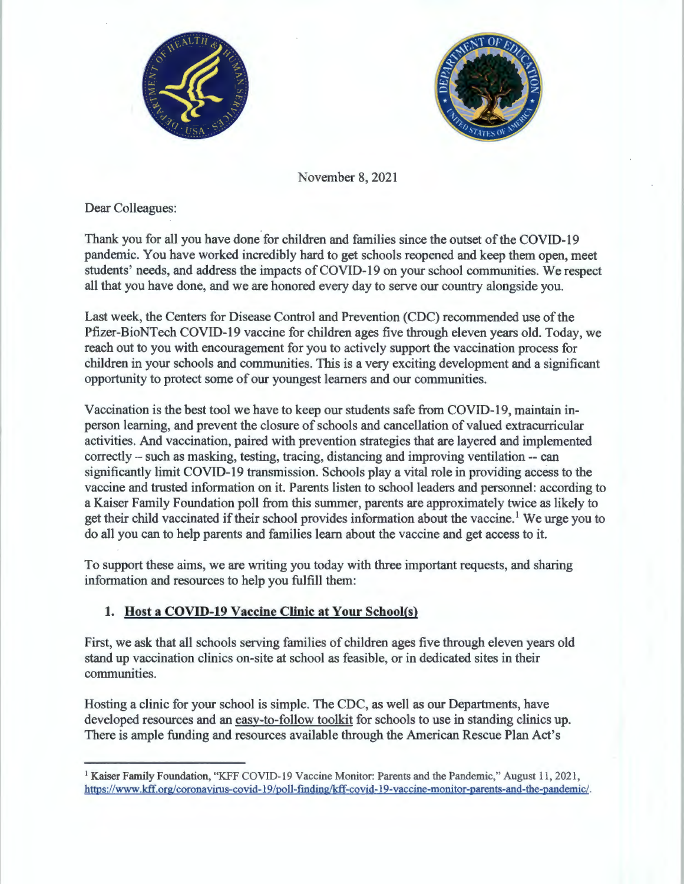



November 8, 2021

Dear Colleagues:

Thank you for all you have done for children and families since the outset of the COVID-19 pandemic. You have worked incredibly hard to get schools reopened and keep them open, meet students' needs, and address the impacts of COVID-19 on your school communities. We respect all that you have done, and we are honored every day to serve our country alongside you.

Last week, the Centers for Disease Control and Prevention (CDC) recommended use of the Pfizer-BioNTech COVID-19 vaccine for children ages five through eleven years old. Today, we reach out to you with encouragement for you to actively support the vaccination process for children in your schools and communities. This is a very exciting development and a significant opportunity to protect some of our youngest learners and our communities.

Vaccination is the best tool we have to keep our students safe from COVID-19, maintain inperson learning, and prevent the closure of schools and cancellation of valued extracurricular activities. And vaccination, paired with prevention strategies that are layered and implemented correctly – such as masking, testing, tracing, distancing and improving ventilation -- can significantly limit COVID-19 transmission. Schools play a vital role in providing access to the vaccine and trusted information on it. Parents listen to school leaders and personnel: according to a Kaiser Family Foundation poll from this summer, parents are approximately twice as likely to get their child vaccinated if their school provides information about the vaccine.<sup>1</sup> We urge you to do all you can to help parents and families learn about the vaccine and get access to it.

To support these aims, we are writing you today with three important requests, and sharing information and resources to help you fulfill them:

## **1. Host a COVID-19 Vaccine Clinic at Your School(s)**

First, we ask that all schools serving families of children ages five through eleven years old stand up vaccination clinics on-site at school as feasible, or in dedicated sites in their communities.

Hosting a clinic for your school is simple. The CDC, as well as our Departments, have developed resources and an easy-to-follow toolkit for schools to use in standing clinics up. There is ample funding and resources available through the American Rescue Plan Act's

<sup>&</sup>lt;sup>1</sup> Kaiser Family Foundation, "KFF COVID-19 Vaccine Monitor: Parents and the Pandemic," August 11, 2021, https:/ /www .kff.org/ coronavirus-covid-19 /poll-finding/kff-covid-19-vaccine-monitor-parents-and-the-pandemic/.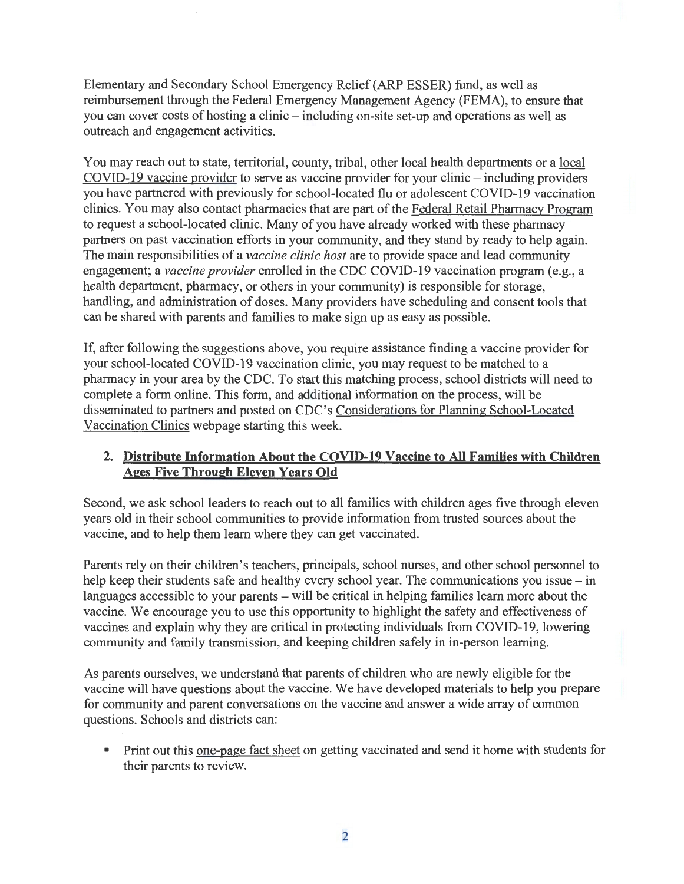Elementary and Secondary School Emergency Relief (ARP ESSER) fund, as well as reimbursement through the Federal Emergency Management Agency (FEMA), to ensure that you can cover costs of hosting a clinic - including on-site set-up and operations as well as outreach and engagement activities.

You may reach out to state, territorial, county, tribal, other local health departments or a local  $COVID-19$  vaccine provider to serve as vaccine provider for your clinic  $-$  including providers you have partnered with previously for school-located flu or adolescent COVID-19 vaccination clinics. You may also contact pharmacies that are part of the Federal Retail Pharmacy Program to request a school-located clinic. Many of you have already worked with these pharmacy partners on past vaccination efforts in your community, and they stand by ready to help again. The main responsibilities of a *vaccine clinic host* are to provide space and lead community engagement; a *vaccine provider* enrolled in the CDC COVID-19 vaccination program (e.g., a health department, pharmacy, or others in your community) is responsible for storage, handling, and administration of doses. Many providers have scheduling and consent tools that can be shared with parents and families to make sign up as easy as possible.

If, after following the suggestions above, you require assistance finding a vaccine provider for your school-located COVID-19 vaccination clinic, you may request to be matched to a pharmacy in your area by the CDC. To start this matching process, school districts will need to complete a form online. This form, and additional information on the process, will be disseminated to partners and posted on CDC's Considerations for Planning School-Located Vaccination Clinics webpage starting this week.

## **2. Distribute Information About the COVID-19 Vaccine to All Families with Children Ages Five Through Eleven Years Old**

Second, we ask school leaders to reach out to all families with children ages five through eleven years old in their school communities to provide information from trusted sources about the vaccine, and to help them learn where they can get vaccinated.

Parents rely on their children's teachers, principals, school nurses, and other school personnel to help keep their students safe and healthy every school year. The communications you issue – in languages accessible to your parents – will be critical in helping families learn more about the vaccine. We encourage you to use this opportunity to highlight the safety and effectiveness of vaccines and explain why they are critical in protecting individuals from COVID-19, lowering community and family transmission, and keeping children safely in in-person learning.

As parents ourselves, we understand that parents of children who are newly eligible for the vaccine will have questions about the vaccine. We have developed materials to help you prepare for community and parent conversations on the vaccine and answer a wide array of common questions. Schools and districts can:

■ Print out this one-page fact sheet on getting vaccinated and send it home with students for their parents to review.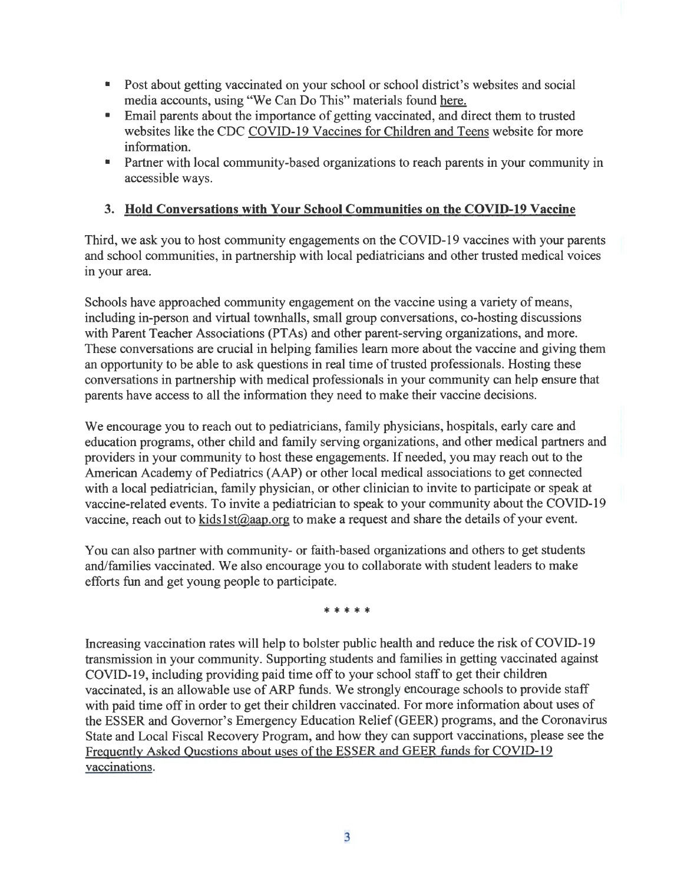- Post about getting vaccinated on your school or school district's websites and social media accounts, using "We Can Do This" materials found here.
- Email parents about the importance of getting vaccinated, and direct them to trusted websites like the CDC COVID-19 Vaccines for Children and Teens website for more information.
- Partner with local community-based organizations to reach parents in your community in accessible ways.

## **3. Hold Conversations with Your School Communities on the COVID-19 Vaccine**

Third, we ask you to host community engagements on the COVID-19 vaccines with your parents and school communities, in partnership with local pediatricians and other trusted medical voices in your area.

Schools have approached community engagement on the vaccine using a variety of means, including in-person and virtual townhalls, small group conversations, co-hosting discussions with Parent Teacher Associations (PTAs) and other parent-serving organizations, and more. These conversations are crucial in helping families learn more about the vaccine and giving them an opportunity to be able to ask questions in real time of trusted professionals. Hosting these conversations in partnership with medical professionals in your community can help ensure that parents have access to all the information they need to make their vaccine decisions.

We encourage you to reach out to pediatricians, family physicians, hospitals, early care and education programs, other child and family serving organizations, and other medical partners and providers in your community to host these engagements. If needed, you may reach out to the American Academy of Pediatrics (AAP) or other local medical associations to get connected with a local pediatrician, family physician, or other clinician to invite to participate or speak at vaccine-related events. To invite a pediatrician to speak to your community about the COVID-19 vaccine, reach out to kids1st@aap.org to make a request and share the details of your event.

You can also partner with community- or faith-based organizations and others to get students and/families vaccinated. We also encourage you to collaborate with student leaders to make efforts fun and get young people to participate.

\* \* \* \* \*

Increasing vaccination rates will help to bolster public health and reduce the risk of COVID-19 transmission in your community. Supporting students and families in getting vaccinated against COVID-19, including providing paid time off to your school staff to get their children vaccinated, is an allowable use of ARP funds. We strongly encourage schools to provide staff with paid time off in order to get their children vaccinated. For more information about uses of the ESSER and Governor's Emergency Education Relief (GEER) programs, and the Coronavirus State and Local Fiscal Recovery Program, and how they can support vaccinations, please see the Freguently Asked Questions about uses of the ESSER and GEER funds for COVID-19 vaccinations.